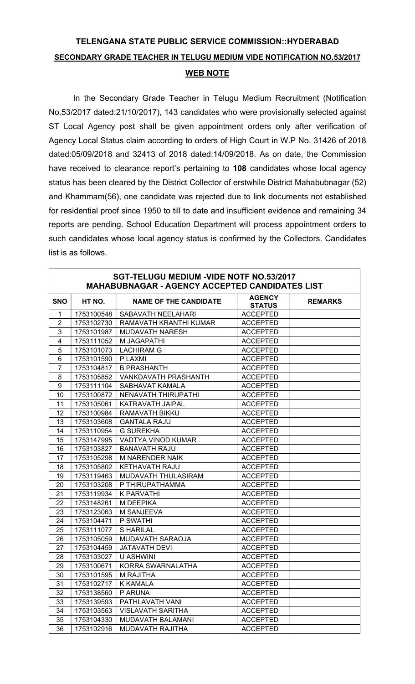## TELENGANA STATE PUBLIC SERVICE COMMISSION::HYDERABAD SECONDARY GRADE TEACHER IN TELUGU MEDIUM VIDE NOTIFICATION NO.53/2017 WEB NOTE

In the Secondary Grade Teacher in Telugu Medium Recruitment (Notification No.53/2017 dated:21/10/2017), 143 candidates who were provisionally selected against ST Local Agency post shall be given appointment orders only after verification of Agency Local Status claim according to orders of High Court in W.P No. 31426 of 2018 dated:05/09/2018 and 32413 of 2018 dated:14/09/2018. As on date, the Commission have received to clearance report's pertaining to 108 candidates whose local agency status has been cleared by the District Collector of erstwhile District Mahabubnagar (52) and Khammam(56), one candidate was rejected due to link documents not established for residential proof since 1950 to till to date and insufficient evidence and remaining 34 reports are pending. School Education Department will process appointment orders to such candidates whose local agency status is confirmed by the Collectors. Candidates list is as follows.

| <b>SGT-TELUGU MEDIUM -VIDE NOTF NO.53/2017</b><br><b>MAHABUBNAGAR - AGENCY ACCEPTED CANDIDATES LIST</b> |            |                              |                                |                |
|---------------------------------------------------------------------------------------------------------|------------|------------------------------|--------------------------------|----------------|
| <b>SNO</b>                                                                                              | HT NO.     | <b>NAME OF THE CANDIDATE</b> | <b>AGENCY</b><br><b>STATUS</b> | <b>REMARKS</b> |
| $\mathbf{1}$                                                                                            | 1753100548 | SABAVATH NEELAHARI           | <b>ACCEPTED</b>                |                |
| $\overline{2}$                                                                                          | 1753102730 | RAMAVATH KRANTHI KUMAR       | <b>ACCEPTED</b>                |                |
| 3                                                                                                       | 1753101987 | <b>MUDAVATH NARESH</b>       | <b>ACCEPTED</b>                |                |
| 4                                                                                                       | 1753111052 | M JAGAPATHI                  | <b>ACCEPTED</b>                |                |
| 5                                                                                                       | 1753101073 | <b>LACHIRAM G</b>            | <b>ACCEPTED</b>                |                |
| $6\phantom{1}$                                                                                          | 1753101590 | P LAXMI                      | <b>ACCEPTED</b>                |                |
| $\overline{7}$                                                                                          | 1753104817 | <b>B PRASHANTH</b>           | <b>ACCEPTED</b>                |                |
| 8                                                                                                       | 1753105852 | <b>VANKDAVATH PRASHANTH</b>  | <b>ACCEPTED</b>                |                |
| 9                                                                                                       | 1753111104 | SABHAVAT KAMALA              | <b>ACCEPTED</b>                |                |
| 10                                                                                                      | 1753100872 | NENAVATH THIRUPATHI          | <b>ACCEPTED</b>                |                |
| 11                                                                                                      | 1753105061 | KATRAVATH JAIPAL             | <b>ACCEPTED</b>                |                |
| 12                                                                                                      | 1753100984 | RAMAVATH BIKKU               | <b>ACCEPTED</b>                |                |
| 13                                                                                                      | 1753103608 | <b>GANTALA RAJU</b>          | <b>ACCEPTED</b>                |                |
| 14                                                                                                      | 1753110954 | <b>G SUREKHA</b>             | <b>ACCEPTED</b>                |                |
| 15                                                                                                      | 1753147995 | VADTYA VINOD KUMAR           | <b>ACCEPTED</b>                |                |
| 16                                                                                                      | 1753103827 | <b>BANAVATH RAJU</b>         | <b>ACCEPTED</b>                |                |
| 17                                                                                                      | 1753105298 | <b>M NARENDER NAIK</b>       | <b>ACCEPTED</b>                |                |
| 18                                                                                                      | 1753105802 | KETHAVATH RAJU               | <b>ACCEPTED</b>                |                |
| 19                                                                                                      | 1753119463 | MUDAVATH THULASIRAM          | <b>ACCEPTED</b>                |                |
| 20                                                                                                      | 1753103208 | P THIRUPATHAMMA              | <b>ACCEPTED</b>                |                |
| 21                                                                                                      | 1753119934 | <b>K PARVATHI</b>            | <b>ACCEPTED</b>                |                |
| 22                                                                                                      | 1753148261 | M DEEPIKA                    | <b>ACCEPTED</b>                |                |
| 23                                                                                                      | 1753123063 | M SANJEEVA                   | <b>ACCEPTED</b>                |                |
| 24                                                                                                      | 1753104471 | P SWATHI                     | <b>ACCEPTED</b>                |                |
| 25                                                                                                      | 1753111077 | <b>SHARILAL</b>              | <b>ACCEPTED</b>                |                |
| 26                                                                                                      | 1753105059 | MUDAVATH SARAOJA             | <b>ACCEPTED</b>                |                |
| 27                                                                                                      | 1753104459 | <b>JATAVATH DEVI</b>         | <b>ACCEPTED</b>                |                |
| 28                                                                                                      | 1753103027 | <b>U ASHWINI</b>             | <b>ACCEPTED</b>                |                |
| 29                                                                                                      | 1753100671 | <b>KORRA SWARNALATHA</b>     | <b>ACCEPTED</b>                |                |
| $30\,$                                                                                                  | 1753101595 | <b>M RAJITHA</b>             | <b>ACCEPTED</b>                |                |
| 31                                                                                                      | 1753102717 | <b>K KAMALA</b>              | <b>ACCEPTED</b>                |                |
| 32                                                                                                      | 1753138560 | P ARUNA                      | <b>ACCEPTED</b>                |                |
| 33                                                                                                      | 1753139593 | PATHLAVATH VANI              | <b>ACCEPTED</b>                |                |
| 34                                                                                                      | 1753103563 | <b>VISLAVATH SARITHA</b>     | <b>ACCEPTED</b>                |                |
| 35                                                                                                      | 1753104330 | MUDAVATH BALAMANI            | <b>ACCEPTED</b>                |                |
| 36                                                                                                      | 1753102916 | MUDAVATH RAJITHA             | <b>ACCEPTED</b>                |                |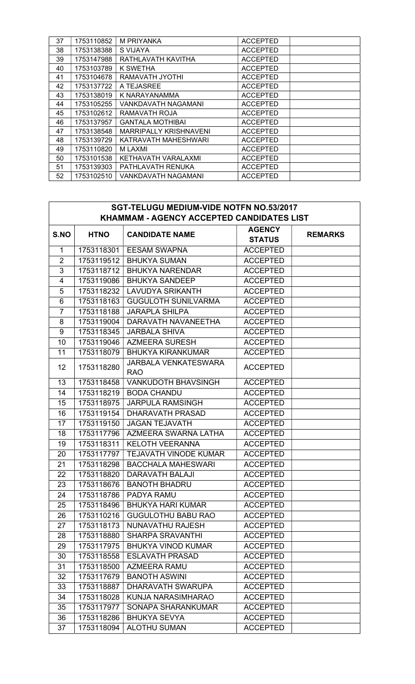| 37 | 1753110852 | <b>M PRIYANKA</b>             | <b>ACCEPTED</b> |  |
|----|------------|-------------------------------|-----------------|--|
|    |            |                               |                 |  |
| 38 | 1753138388 | S VIJAYA                      | <b>ACCEPTED</b> |  |
| 39 | 1753147988 | RATHLAVATH KAVITHA            | <b>ACCEPTED</b> |  |
| 40 | 1753103789 | K SWETHA                      | <b>ACCEPTED</b> |  |
| 41 | 1753104678 | RAMAVATH JYOTHI               | <b>ACCEPTED</b> |  |
| 42 | 1753137722 | A TEJASREE                    | <b>ACCEPTED</b> |  |
| 43 | 1753138019 | K NARAYANAMMA                 | <b>ACCEPTED</b> |  |
| 44 | 1753105255 | <b>VANKDAVATH NAGAMANI</b>    | <b>ACCEPTED</b> |  |
| 45 | 1753102612 | RAMAVATH ROJA                 | <b>ACCEPTED</b> |  |
| 46 | 1753137957 | <b>GANTALA MOTHIBAI</b>       | <b>ACCEPTED</b> |  |
| 47 | 1753138548 | <b>MARRIPALLY KRISHNAVENI</b> | <b>ACCEPTED</b> |  |
| 48 | 1753139729 | KATRAVATH MAHESHWARI          | <b>ACCEPTED</b> |  |
| 49 | 1753110820 | <b>MLAXMI</b>                 | <b>ACCEPTED</b> |  |
| 50 | 1753101538 | KETHAVATH VARALAXMI           | <b>ACCEPTED</b> |  |
| 51 | 1753139303 | PATHLAVATH RENUKA             | <b>ACCEPTED</b> |  |
| 52 | 1753102510 | VANKDAVATH NAGAMANI           | <b>ACCEPTED</b> |  |

| <b>SGT-TELUGU MEDIUM-VIDE NOTFN NO.53/2017</b> |             |                                           |                                |                |  |
|------------------------------------------------|-------------|-------------------------------------------|--------------------------------|----------------|--|
| KHAMMAM - AGENCY ACCEPTED CANDIDATES LIST      |             |                                           |                                |                |  |
| S.NO                                           | <b>HTNO</b> | <b>CANDIDATE NAME</b>                     | <b>AGENCY</b><br><b>STATUS</b> | <b>REMARKS</b> |  |
| $\mathbf{1}$                                   | 1753118301  | <b>EESAM SWAPNA</b>                       | <b>ACCEPTED</b>                |                |  |
| $\overline{2}$                                 | 1753119512  | <b>BHUKYA SUMAN</b>                       | <b>ACCEPTED</b>                |                |  |
| $\overline{3}$                                 | 1753118712  | <b>BHUKYA NARENDAR</b>                    | <b>ACCEPTED</b>                |                |  |
| 4                                              | 1753119086  | <b>BHUKYA SANDEEP</b>                     | <b>ACCEPTED</b>                |                |  |
| 5                                              | 1753118232  | <b>LAVUDYA SRIKANTH</b>                   | <b>ACCEPTED</b>                |                |  |
| $\,6$                                          | 1753118163  | <b>GUGULOTH SUNILVARMA</b>                | <b>ACCEPTED</b>                |                |  |
| $\overline{7}$                                 | 1753118188  | <b>JARAPLA SHILPA</b>                     | <b>ACCEPTED</b>                |                |  |
| 8                                              | 1753119004  | DARAVATH NAVANEETHA                       | <b>ACCEPTED</b>                |                |  |
| 9                                              | 1753118345  | <b>JARBALA SHIVA</b>                      | <b>ACCEPTED</b>                |                |  |
| 10                                             | 1753119046  | <b>AZMEERA SURESH</b>                     | <b>ACCEPTED</b>                |                |  |
| 11                                             | 1753118079  | <b>BHUKYA KIRANKUMAR</b>                  | <b>ACCEPTED</b>                |                |  |
| 12 <sup>2</sup>                                | 1753118280  | <b>JARBALA VENKATESWARA</b><br><b>RAO</b> | <b>ACCEPTED</b>                |                |  |
| 13                                             | 1753118458  | <b>VANKUDOTH BHAVSINGH</b>                | <b>ACCEPTED</b>                |                |  |
| 14                                             | 1753118219  | <b>BODA CHANDU</b>                        | <b>ACCEPTED</b>                |                |  |
| 15                                             | 1753118975  | <b>JARPULA RAMSINGH</b>                   | <b>ACCEPTED</b>                |                |  |
| 16                                             | 1753119154  | DHARAVATH PRASAD                          | <b>ACCEPTED</b>                |                |  |
| 17                                             | 1753119150  | <b>JAGAN TEJAVATH</b>                     | <b>ACCEPTED</b>                |                |  |
| 18                                             | 1753117796  | AZMEERA SWARNA LATHA                      | <b>ACCEPTED</b>                |                |  |
| 19                                             | 1753118311  | <b>KELOTH VEERANNA</b>                    | <b>ACCEPTED</b>                |                |  |
| 20                                             | 1753117797  | <b>TEJAVATH VINODE KUMAR</b>              | <b>ACCEPTED</b>                |                |  |
| 21                                             | 1753118298  | <b>BACCHALA MAHESWARI</b>                 | <b>ACCEPTED</b>                |                |  |
| 22                                             | 1753118820  | <b>DARAVATH BALAJI</b>                    | <b>ACCEPTED</b>                |                |  |
| 23                                             | 1753118676  | <b>BANOTH BHADRU</b>                      | <b>ACCEPTED</b>                |                |  |
| 24                                             | 1753118786  | PADYA RAMU                                | <b>ACCEPTED</b>                |                |  |
| 25                                             | 1753118496  | <b>BHUKYA HARI KUMAR</b>                  | <b>ACCEPTED</b>                |                |  |
| 26                                             | 1753110216  | <b>GUGULOTHU BABU RAO</b>                 | <b>ACCEPTED</b>                |                |  |
| 27                                             | 1753118173  | NUNAVATHU RAJESH                          | <b>ACCEPTED</b>                |                |  |
| 28                                             | 1753118880  | <b>SHARPA SRAVANTHI</b>                   | <b>ACCEPTED</b>                |                |  |
| 29                                             | 1753117975  | <b>BHUKYA VINOD KUMAR</b>                 | <b>ACCEPTED</b>                |                |  |
| 30                                             | 1753118558  | <b>ESLAVATH PRASAD</b>                    | <b>ACCEPTED</b>                |                |  |
| 31                                             | 1753118500  | AZMEERA RAMU                              | <b>ACCEPTED</b>                |                |  |
| 32                                             | 1753117679  | <b>BANOTH ASWINI</b>                      | <b>ACCEPTED</b>                |                |  |
| 33                                             | 1753118887  | <b>DHARAVATH SWARUPA</b>                  | <b>ACCEPTED</b>                |                |  |
| 34                                             | 1753118028  | KUNJA NARASIMHARAO                        | <b>ACCEPTED</b>                |                |  |
| 35                                             | 1753117977  | SONAPA SHARANKUMAR                        | <b>ACCEPTED</b>                |                |  |
| 36                                             | 1753118286  | <b>BHUKYA SEVYA</b>                       | <b>ACCEPTED</b>                |                |  |
| 37                                             | 1753118094  | <b>ALOTHU SUMAN</b>                       | <b>ACCEPTED</b>                |                |  |